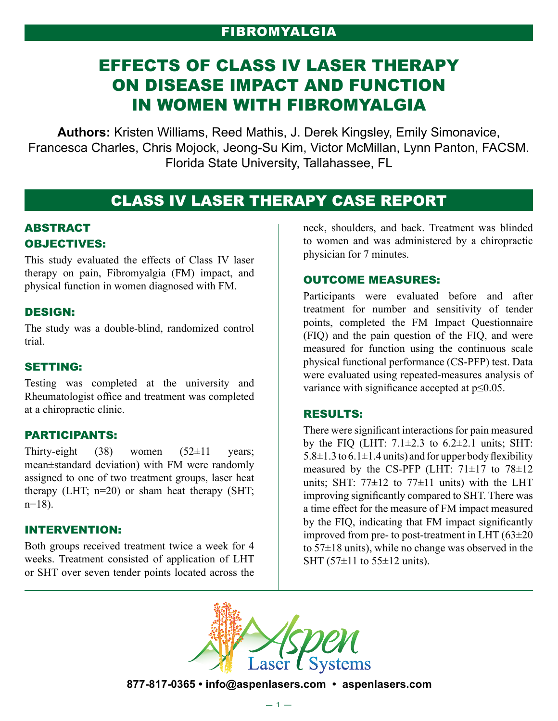# Fibromyalgia

# EFFECTS OF CLASS IV LASER THERAPY ON DISEASE IMPACT AND FUNCTION IN WOMEN WITH FIBROMYALGIA

**Authors:** Kristen Williams, Reed Mathis, J. Derek Kingsley, Emily Simonavice, Francesca Charles, Chris Mojock, Jeong-Su Kim, Victor McMillan, Lynn Panton, FACSM. Florida State University, Tallahassee, FL

# CLASS IV LASER THERAPY CASE REPORT

## ABSTRACT OBJECTIVES:

This study evaluated the effects of Class IV laser therapy on pain, Fibromyalgia (FM) impact, and physical function in women diagnosed with FM.

### DESIGN:

The study was a double-blind, randomized control trial.

#### SETTING:

Testing was completed at the university and Rheumatologist office and treatment was completed at a chiropractic clinic.

### PARTICIPANTS:

Thirty-eight (38) women  $(52\pm 11$  years; mean±standard deviation) with FM were randomly assigned to one of two treatment groups, laser heat therapy (LHT; n=20) or sham heat therapy (SHT;  $n=18$ ).

#### INTERVENTION:

Both groups received treatment twice a week for 4 weeks. Treatment consisted of application of LHT or SHT over seven tender points located across the neck, shoulders, and back. Treatment was blinded to women and was administered by a chiropractic physician for 7 minutes.

#### OUTCOME MEASURES:

Participants were evaluated before and after treatment for number and sensitivity of tender points, completed the FM Impact Questionnaire (FIQ) and the pain question of the FIQ, and were measured for function using the continuous scale physical functional performance (CS-PFP) test. Data were evaluated using repeated-measures analysis of variance with significance accepted at p≤0.05.

#### RESULTS:

There were significant interactions for pain measured by the FIQ (LHT:  $7.1\pm2.3$  to  $6.2\pm2.1$  units; SHT:  $5.8\pm1.3$  to  $6.1\pm1.4$  units) and for upper body flexibility measured by the CS-PFP (LHT:  $71\pm17$  to  $78\pm12$ units; SHT:  $77\pm12$  to  $77\pm11$  units) with the LHT improving significantly compared to SHT. There was a time effect for the measure of FM impact measured by the FIQ, indicating that FM impact significantly improved from pre- to post-treatment in LHT (63±20 to  $57\pm18$  units), while no change was observed in the SHT (57 $\pm$ 11 to 55 $\pm$ 12 units).



**877-817-0365 • info@aspenlasers.com • aspenlasers.com**